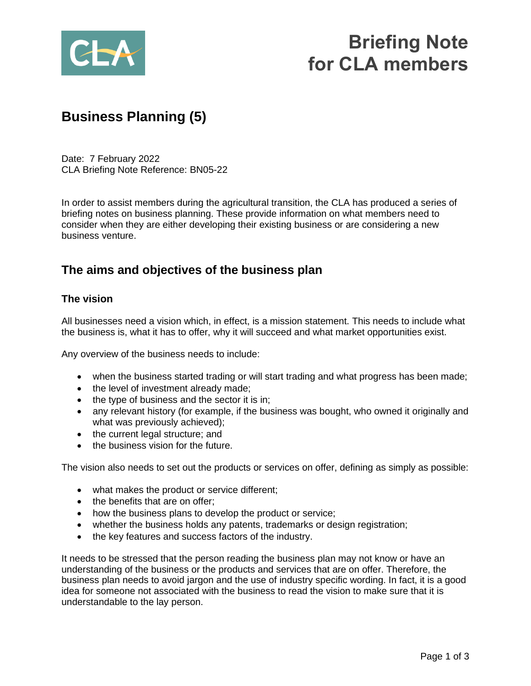

# **Briefing Note for CLA members**

## **Business Planning (5)**

Date: 7 February 2022 CLA Briefing Note Reference: BN05-22

In order to assist members during the agricultural transition, the CLA has produced a series of briefing notes on business planning. These provide information on what members need to consider when they are either developing their existing business or are considering a new business venture.

### **The aims and objectives of the business plan**

#### **The vision**

All businesses need a vision which, in effect, is a mission statement. This needs to include what the business is, what it has to offer, why it will succeed and what market opportunities exist.

Any overview of the business needs to include:

- when the business started trading or will start trading and what progress has been made;
- the level of investment already made;
- the type of business and the sector it is in;
- any relevant history (for example, if the business was bought, who owned it originally and what was previously achieved);
- the current legal structure; and
- the business vision for the future.

The vision also needs to set out the products or services on offer, defining as simply as possible:

- what makes the product or service different;
- the benefits that are on offer:
- how the business plans to develop the product or service;
- whether the business holds any patents, trademarks or design registration;
- the key features and success factors of the industry.

It needs to be stressed that the person reading the business plan may not know or have an understanding of the business or the products and services that are on offer. Therefore, the business plan needs to avoid jargon and the use of industry specific wording. In fact, it is a good idea for someone not associated with the business to read the vision to make sure that it is understandable to the lay person.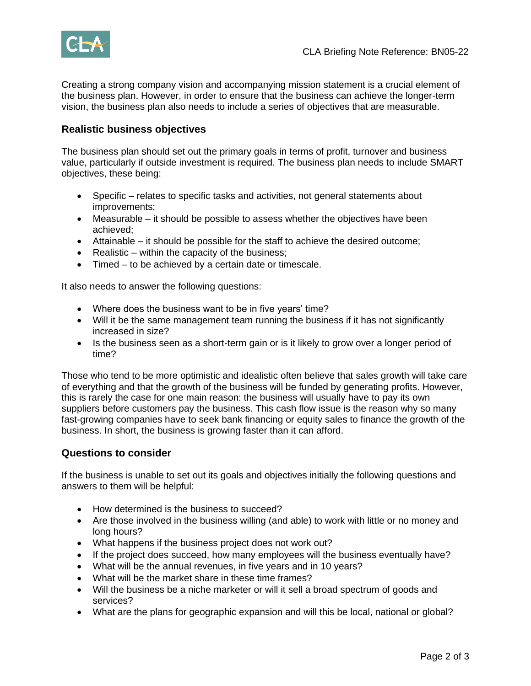

Creating a strong company vision and accompanying mission statement is a crucial element of the business plan. However, in order to ensure that the business can achieve the longer-term vision, the business plan also needs to include a series of objectives that are measurable.

#### **Realistic business objectives**

The business plan should set out the primary goals in terms of profit, turnover and business value, particularly if outside investment is required. The business plan needs to include SMART objectives, these being:

- Specific relates to specific tasks and activities, not general statements about improvements;
- Measurable it should be possible to assess whether the objectives have been achieved;
- Attainable it should be possible for the staff to achieve the desired outcome;
- Realistic within the capacity of the business;
- Timed to be achieved by a certain date or timescale.

It also needs to answer the following questions:

- Where does the business want to be in five years' time?
- Will it be the same management team running the business if it has not significantly increased in size?
- Is the business seen as a short-term gain or is it likely to grow over a longer period of time?

Those who tend to be more optimistic and idealistic often believe that sales growth will take care of everything and that the growth of the business will be funded by generating profits. However, this is rarely the case for one main reason: the business will usually have to pay its own suppliers before customers pay the business. This cash flow issue is the reason why so many fast-growing companies have to seek bank financing or equity sales to finance the growth of the business. In short, the business is growing faster than it can afford.

#### **Questions to consider**

If the business is unable to set out its goals and objectives initially the following questions and answers to them will be helpful:

- How determined is the business to succeed?
- Are those involved in the business willing (and able) to work with little or no money and long hours?
- What happens if the business project does not work out?
- If the project does succeed, how many employees will the business eventually have?
- What will be the annual revenues, in five years and in 10 years?
- What will be the market share in these time frames?
- Will the business be a niche marketer or will it sell a broad spectrum of goods and services?
- What are the plans for geographic expansion and will this be local, national or global?